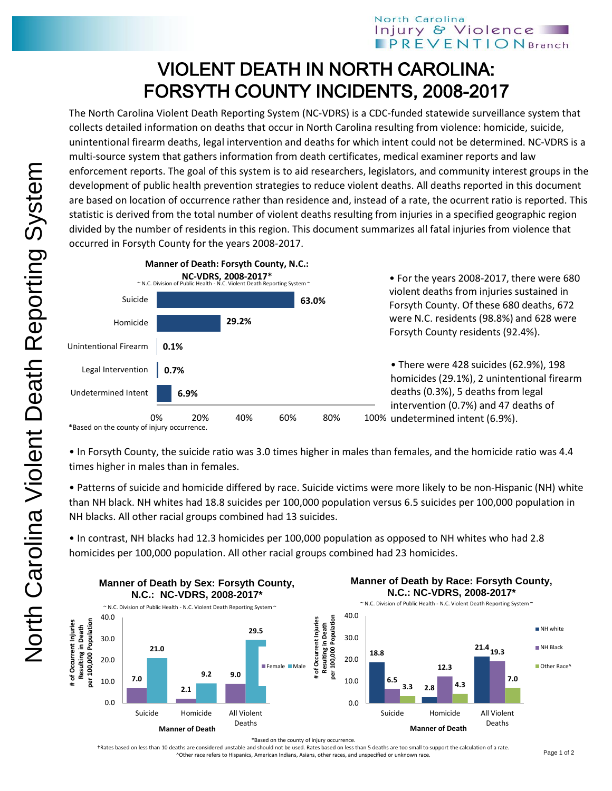## North Carolina Injury & Violence **PREVENTIONBranch**

## VIOLENT DEATH IN NORTH CAROLINA: FORSYTH COUNTY INCIDENTS, 2008-2017

The North Carolina Violent Death Reporting System (NC-VDRS) is a CDC-funded statewide surveillance system that collects detailed information on deaths that occur in North Carolina resulting from violence: homicide, suicide, unintentional firearm deaths, legal intervention and deaths for which intent could not be determined. NC-VDRS is a multi-source system that gathers information from death certificates, medical examiner reports and law enforcement reports. The goal of this system is to aid researchers, legislators, and community interest groups in the development of public health prevention strategies to reduce violent deaths. All deaths reported in this document are based on location of occurrence rather than residence and, instead of a rate, the ocurrent ratio is reported. This statistic is derived from the total number of violent deaths resulting from injuries in a specified geographic region divided by the number of residents in this region. This document summarizes all fatal injuries from violence that occurred in Forsyth County for the years 2008-2017.



\*Based on the county of injury occurrence.

• In Forsyth County, the suicide ratio was 3.0 times higher in males than females, and the homicide ratio was 4.4 times higher in males than in females.

• Patterns of suicide and homicide differed by race. Suicide victims were more likely to be non-Hispanic (NH) white than NH black. NH whites had 18.8 suicides per 100,000 population versus 6.5 suicides per 100,000 population in NH blacks. All other racial groups combined had 13 suicides.

• In contrast, NH blacks had 12.3 homicides per 100,000 population as opposed to NH whites who had 2.8 homicides per 100,000 population. All other racial groups combined had 23 homicides.



†Rates based on less than 10 deaths are considered unstable and should not be used. Rates based on less than 5 deaths are too small to support the calculation of a rate. ^Other race refers to Hispanics, American Indians, Asians, other races, and unspecified or unknown race.

**NH** white NH Black Other Race<sup>/</sup>

**7.0**